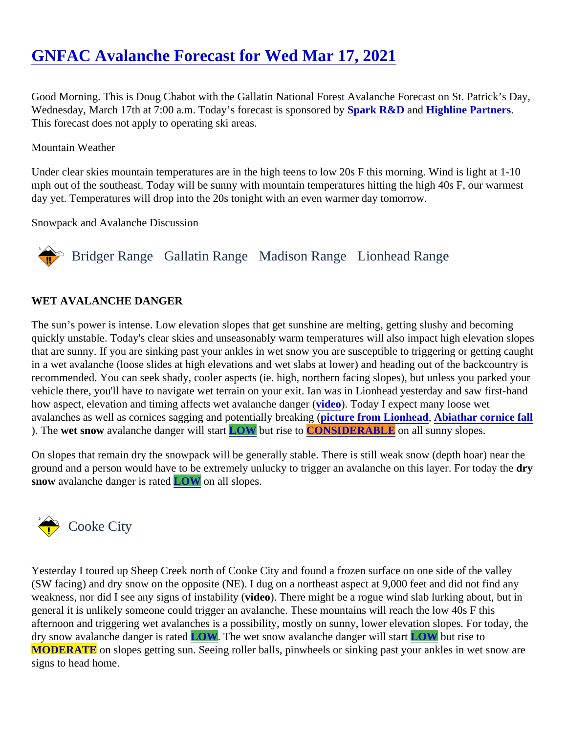# [GNFAC Avalanche Forecast for Wed Mar 17, 202](https://www.mtavalanche.com/forecast/21/03/17)1

Good Morning. This is Doug Chabot with the Gallatin National Forest Avalanche Forecast on St. Patrick's Day, Wednesday, March 17th at 7:00 a.m. Today's forecast is sponsobroably R&D an[d Highline Partners.](http://highline-partners.com/) This forecast does not apply to operating ski areas.

#### Mountain Weather

Under clear skies mountain temperatures are in the high teens to low 20s F this morning. Wind is light at 1-10 mph out of the southeast. Today will be sunny with mountain temperatures hitting the high 40s F, our warmes day yet. Temperatures will drop into the 20s tonight with an even warmer day tomorrow.

Snowpack and Avalanche Discussion

## Bridger Range Gallatin Range Madison RangeLionhead Range

#### WET AVALANCHE DANGER

The sun's power is intense. Low elevation slopes that get sunshine are melting, getting slushy and becoming quickly unstable. Today's clear skies and unseasonably warm temperatures will also impact high elevation slo that are sunny. If you are sinking past your ankles in wet snow you are susceptible to triggering or getting cau in a wet avalanche (loose slides at high elevations and wet slabs at lower) and heading out of the backcountr recommended. You can seek shady, cooler aspects (ie. high, northern facing slopes), but unless you parked vehicle there, you'll have to navigate wet terrain on your exit. Ian was in Lionhead yesterday and saw first-har how aspect, elevation and timing affects wet avalanche d[anger](https://youtu.be/g8s9PZB134E) ( Today I expect many loose wet avalanches as well as cornices sagging and potentially breaking ( from Lionhead, [Abiathar cornice fall](https://www.mtavalanche.com/node/24618) ). The wet snow avalanche danger will stall OW but rise t[o CONSIDERABLE](https://www.mtavalanche.com/images/DangerScale-small.jpg) on all sunny slopes.

On slopes that remain dry the snowpack will be generally stable. There is still weak snow (depth hoar) near th ground and a person would have to be extremely unlucky to trigger an avalanche on this layer. For dow day the snow avalanche danger is ratLOW on all slopes.

### Cooke City

Yesterday I toured up Sheep Creek north of Cooke City and found a frozen surface on one side of the valley (SW facing) and dry snow on the opposite (NE). I dug on a northeast aspect at 9,000 feet and did not find any weakness, nor did I see any signs of instability (a). There might be a rogue wind slab lurking about, but in general it is unlikely someone could trigger an avalanche. These mountains will reach the low 40s F this afternoon and triggering wet avalanches is a possibility, mostly on sunny, lower elevation slopes. For today, t dry snow avalanche danger is raLOW. The wet snow avalanche danger will sLOW but rise to [MODERATE](https://www.mtavalanche.com/images/DangerScale-small.jpg) on slopes getting sun. Seeing roller balls, pinwheels or sinking past your ankles in wet snow are signs to head home.